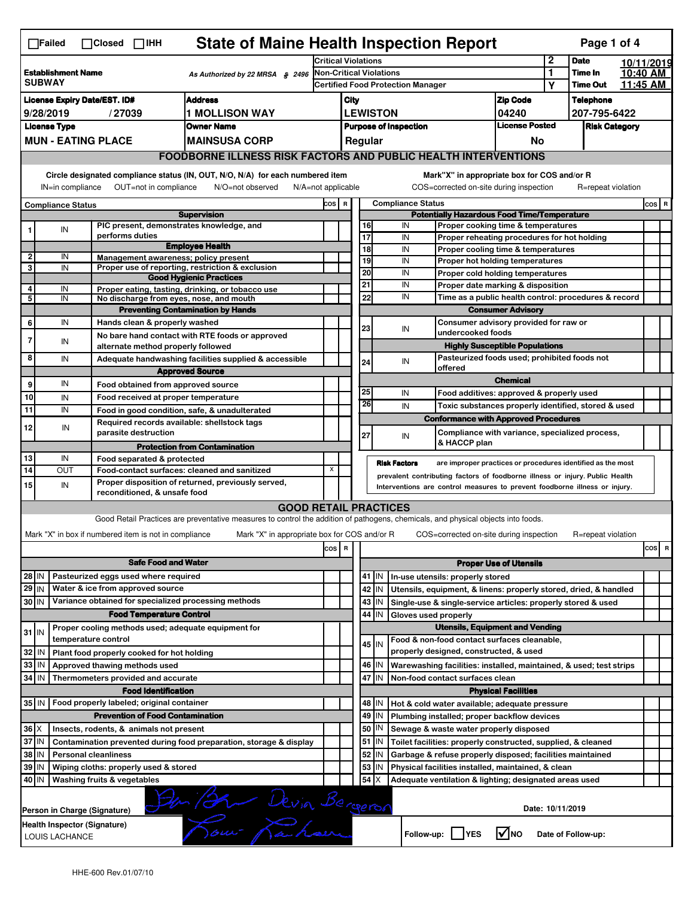| <b>State of Maine Health Inspection Report</b><br>Page 1 of 4<br>$\Box$ Failed<br>$\Box$ Closed $\Box$ IHH                                                                                                                                                       |                                                                       |                  |                                                                                          |                                                                                                                                   |                                                                                                      |                                                                          |                               |                            |                                                                                  |                                                                            |                            |                  |                    |  |                                 |
|------------------------------------------------------------------------------------------------------------------------------------------------------------------------------------------------------------------------------------------------------------------|-----------------------------------------------------------------------|------------------|------------------------------------------------------------------------------------------|-----------------------------------------------------------------------------------------------------------------------------------|------------------------------------------------------------------------------------------------------|--------------------------------------------------------------------------|-------------------------------|----------------------------|----------------------------------------------------------------------------------|----------------------------------------------------------------------------|----------------------------|------------------|--------------------|--|---------------------------------|
|                                                                                                                                                                                                                                                                  |                                                                       |                  |                                                                                          | <b>Critical Violations</b>                                                                                                        |                                                                                                      |                                                                          |                               |                            |                                                                                  | 2                                                                          | <b>Date</b>                |                  | 10/11/2019         |  |                                 |
| <b>Establishment Name</b><br>As Authorized by 22 MRSA § 2496<br><b>SUBWAY</b>                                                                                                                                                                                    |                                                                       |                  | <b>Non-Critical Violations</b><br><b>Certified Food Protection Manager</b>               |                                                                                                                                   |                                                                                                      |                                                                          | $\mathbf{1}$<br>Υ             | Time In<br><b>Time Out</b> |                                                                                  | 10:40 AM<br>11:45 AM                                                       |                            |                  |                    |  |                                 |
|                                                                                                                                                                                                                                                                  |                                                                       |                  |                                                                                          |                                                                                                                                   |                                                                                                      |                                                                          |                               |                            |                                                                                  |                                                                            |                            |                  |                    |  |                                 |
| <b>Address</b><br><b>License Expiry Date/EST. ID#</b>                                                                                                                                                                                                            |                                                                       |                  |                                                                                          |                                                                                                                                   | <b>Zip Code</b><br>City                                                                              |                                                                          |                               | 04240                      |                                                                                  | <b>Telephone</b><br>207-795-6422                                           |                            |                  |                    |  |                                 |
| 9/28/2019<br>/27039<br>1 MOLLISON WAY<br><b>License Type</b><br><b>Owner Name</b>                                                                                                                                                                                |                                                                       |                  |                                                                                          |                                                                                                                                   |                                                                                                      | <b>LEWISTON</b><br><b>License Posted</b><br><b>Purpose of Inspection</b> |                               |                            | <b>Risk Category</b>                                                             |                                                                            |                            |                  |                    |  |                                 |
|                                                                                                                                                                                                                                                                  |                                                                       |                  | <b>MUN - EATING PLACE</b>                                                                | <b>MAINSUSA CORP</b>                                                                                                              |                                                                                                      |                                                                          |                               | Regular                    |                                                                                  |                                                                            | No                         |                  |                    |  |                                 |
|                                                                                                                                                                                                                                                                  |                                                                       |                  |                                                                                          |                                                                                                                                   |                                                                                                      |                                                                          |                               |                            |                                                                                  |                                                                            |                            |                  |                    |  |                                 |
|                                                                                                                                                                                                                                                                  | <b>FOODBORNE ILLNESS RISK FACTORS AND PUBLIC HEALTH INTERVENTIONS</b> |                  |                                                                                          |                                                                                                                                   |                                                                                                      |                                                                          |                               |                            |                                                                                  |                                                                            |                            |                  |                    |  |                                 |
|                                                                                                                                                                                                                                                                  |                                                                       |                  |                                                                                          | Circle designated compliance status (IN, OUT, N/O, N/A) for each numbered item                                                    | Mark"X" in appropriate box for COS and/or R                                                          |                                                                          |                               |                            |                                                                                  |                                                                            |                            |                  |                    |  |                                 |
|                                                                                                                                                                                                                                                                  |                                                                       | IN=in compliance | OUT=not in compliance                                                                    | N/O=not observed<br>$N/A = not$ applicable                                                                                        |                                                                                                      |                                                                          |                               |                            |                                                                                  | COS=corrected on-site during inspection                                    |                            |                  | R=repeat violation |  |                                 |
|                                                                                                                                                                                                                                                                  | <b>Compliance Status</b>                                              |                  |                                                                                          | <b>Supervision</b>                                                                                                                | COS R                                                                                                |                                                                          |                               |                            | <b>Compliance Status</b>                                                         |                                                                            |                            |                  |                    |  | $cos$ R                         |
|                                                                                                                                                                                                                                                                  | ${\sf IN}$                                                            |                  | PIC present, demonstrates knowledge, and                                                 |                                                                                                                                   | <b>Potentially Hazardous Food Time/Temperature</b><br>16<br>IN<br>Proper cooking time & temperatures |                                                                          |                               |                            |                                                                                  |                                                                            |                            |                  |                    |  |                                 |
|                                                                                                                                                                                                                                                                  |                                                                       |                  | performs duties                                                                          |                                                                                                                                   |                                                                                                      |                                                                          | 17                            |                            | IN                                                                               | Proper reheating procedures for hot holding                                |                            |                  |                    |  |                                 |
| $\overline{2}$                                                                                                                                                                                                                                                   |                                                                       | IN               |                                                                                          | <b>Employee Health</b>                                                                                                            |                                                                                                      |                                                                          | 18                            |                            | IN                                                                               | Proper cooling time & temperatures                                         |                            |                  |                    |  |                                 |
| 3                                                                                                                                                                                                                                                                |                                                                       | IN               | Management awareness; policy present                                                     | Proper use of reporting, restriction & exclusion                                                                                  |                                                                                                      |                                                                          | 19                            |                            | IN                                                                               | Proper hot holding temperatures                                            |                            |                  |                    |  |                                 |
|                                                                                                                                                                                                                                                                  |                                                                       |                  |                                                                                          | <b>Good Hygienic Practices</b>                                                                                                    |                                                                                                      |                                                                          | 20<br>21                      |                            | IN<br>IN                                                                         | Proper cold holding temperatures                                           |                            |                  |                    |  |                                 |
| 4<br>5                                                                                                                                                                                                                                                           | IN<br>IN                                                              |                  | No discharge from eyes, nose, and mouth                                                  | Proper eating, tasting, drinking, or tobacco use                                                                                  |                                                                                                      |                                                                          | 22                            |                            | IN                                                                               | Proper date marking & disposition                                          |                            |                  |                    |  |                                 |
|                                                                                                                                                                                                                                                                  |                                                                       |                  |                                                                                          | <b>Preventing Contamination by Hands</b>                                                                                          |                                                                                                      |                                                                          |                               |                            | Time as a public health control: procedures & record<br><b>Consumer Advisory</b> |                                                                            |                            |                  |                    |  |                                 |
| 6                                                                                                                                                                                                                                                                |                                                                       | IN               | Hands clean & properly washed                                                            |                                                                                                                                   |                                                                                                      |                                                                          |                               |                            |                                                                                  | Consumer advisory provided for raw or                                      |                            |                  |                    |  |                                 |
| 7                                                                                                                                                                                                                                                                |                                                                       |                  |                                                                                          | No bare hand contact with RTE foods or approved                                                                                   |                                                                                                      |                                                                          | 23                            |                            | IN                                                                               | undercooked foods                                                          |                            |                  |                    |  |                                 |
|                                                                                                                                                                                                                                                                  |                                                                       | IN               | alternate method properly followed                                                       |                                                                                                                                   |                                                                                                      |                                                                          |                               |                            |                                                                                  | <b>Highly Susceptible Populations</b>                                      |                            |                  |                    |  |                                 |
| 8                                                                                                                                                                                                                                                                |                                                                       | IN               |                                                                                          | Adequate handwashing facilities supplied & accessible                                                                             |                                                                                                      |                                                                          | 24                            |                            | IN                                                                               | Pasteurized foods used; prohibited foods not<br>offered                    |                            |                  |                    |  |                                 |
| 9                                                                                                                                                                                                                                                                |                                                                       | IN               |                                                                                          | <b>Approved Source</b>                                                                                                            |                                                                                                      |                                                                          |                               |                            |                                                                                  |                                                                            | <b>Chemical</b>            |                  |                    |  |                                 |
| 10                                                                                                                                                                                                                                                               |                                                                       | IN               | Food obtained from approved source<br>Food received at proper temperature                |                                                                                                                                   |                                                                                                      |                                                                          | 25                            |                            | IN                                                                               | Food additives: approved & properly used                                   |                            |                  |                    |  |                                 |
| 11                                                                                                                                                                                                                                                               |                                                                       | IN               | Food in good condition, safe, & unadulterated                                            |                                                                                                                                   |                                                                                                      |                                                                          | 26                            |                            | IN                                                                               | Toxic substances properly identified, stored & used                        |                            |                  |                    |  |                                 |
|                                                                                                                                                                                                                                                                  |                                                                       |                  | Required records available: shellstock tags                                              |                                                                                                                                   |                                                                                                      |                                                                          |                               |                            |                                                                                  | <b>Conformance with Approved Procedures</b>                                |                            |                  |                    |  |                                 |
| 12                                                                                                                                                                                                                                                               |                                                                       | IN               | parasite destruction                                                                     |                                                                                                                                   |                                                                                                      |                                                                          | 27                            |                            | IN                                                                               | Compliance with variance, specialized process,                             |                            |                  |                    |  |                                 |
|                                                                                                                                                                                                                                                                  |                                                                       |                  |                                                                                          | <b>Protection from Contamination</b>                                                                                              |                                                                                                      |                                                                          |                               |                            |                                                                                  | & HACCP plan                                                               |                            |                  |                    |  |                                 |
| 13<br>14                                                                                                                                                                                                                                                         |                                                                       | IN               | Food separated & protected                                                               |                                                                                                                                   | X                                                                                                    |                                                                          |                               |                            | <b>Risk Factors</b>                                                              | are improper practices or procedures identified as the most                |                            |                  |                    |  |                                 |
| OUT<br>Food-contact surfaces: cleaned and sanitized<br>Proper disposition of returned, previously served,                                                                                                                                                        |                                                                       |                  |                                                                                          |                                                                                                                                   |                                                                                                      |                                                                          |                               |                            | prevalent contributing factors of foodborne illness or injury. Public Health     |                                                                            |                            |                  |                    |  |                                 |
| 15                                                                                                                                                                                                                                                               |                                                                       | IN               | reconditioned, & unsafe food                                                             |                                                                                                                                   |                                                                                                      |                                                                          |                               |                            |                                                                                  | Interventions are control measures to prevent foodborne illness or injury. |                            |                  |                    |  |                                 |
|                                                                                                                                                                                                                                                                  |                                                                       |                  |                                                                                          | <b>GOOD RETAIL PRACTICES</b>                                                                                                      |                                                                                                      |                                                                          |                               |                            |                                                                                  |                                                                            |                            |                  |                    |  |                                 |
|                                                                                                                                                                                                                                                                  |                                                                       |                  |                                                                                          | Good Retail Practices are preventative measures to control the addition of pathogens, chemicals, and physical objects into foods. |                                                                                                      |                                                                          |                               |                            |                                                                                  |                                                                            |                            |                  |                    |  |                                 |
|                                                                                                                                                                                                                                                                  |                                                                       |                  | Mark "X" in box if numbered item is not in compliance                                    | Mark "X" in appropriate box for COS and/or R                                                                                      |                                                                                                      |                                                                          |                               |                            |                                                                                  | COS=corrected on-site during inspection                                    |                            |                  | R=repeat violation |  |                                 |
|                                                                                                                                                                                                                                                                  |                                                                       |                  |                                                                                          |                                                                                                                                   | cos                                                                                                  | R                                                                        |                               |                            |                                                                                  |                                                                            |                            |                  |                    |  | cosl<br>$\overline{\mathbf{R}}$ |
|                                                                                                                                                                                                                                                                  |                                                                       |                  | <b>Safe Food and Water</b>                                                               |                                                                                                                                   |                                                                                                      |                                                                          | <b>Proper Use of Utensils</b> |                            |                                                                                  |                                                                            |                            |                  |                    |  |                                 |
| 28 IN                                                                                                                                                                                                                                                            |                                                                       |                  | Pasteurized eggs used where required                                                     |                                                                                                                                   |                                                                                                      |                                                                          |                               | 41 J IN                    |                                                                                  | In-use utensils: properly stored                                           |                            |                  |                    |  |                                 |
| 29 IN                                                                                                                                                                                                                                                            |                                                                       |                  | Water & ice from approved source<br>Variance obtained for specialized processing methods |                                                                                                                                   |                                                                                                      |                                                                          | 42                            | IN                         |                                                                                  | Utensils, equipment, & linens: properly stored, dried, & handled           |                            |                  |                    |  |                                 |
| 30 IN                                                                                                                                                                                                                                                            |                                                                       |                  | <b>Food Temperature Control</b>                                                          |                                                                                                                                   |                                                                                                      |                                                                          | 43<br>44                      | IN<br>IN                   | Gloves used properly                                                             | Single-use & single-service articles: properly stored & used               |                            |                  |                    |  |                                 |
|                                                                                                                                                                                                                                                                  |                                                                       |                  | Proper cooling methods used; adequate equipment for                                      |                                                                                                                                   |                                                                                                      |                                                                          |                               |                            |                                                                                  | <b>Utensils, Equipment and Vending</b>                                     |                            |                  |                    |  |                                 |
| $31$ IN                                                                                                                                                                                                                                                          |                                                                       |                  | temperature control                                                                      |                                                                                                                                   |                                                                                                      |                                                                          |                               | 45 I IN                    |                                                                                  | Food & non-food contact surfaces cleanable,                                |                            |                  |                    |  |                                 |
| 32                                                                                                                                                                                                                                                               | IN                                                                    |                  | Plant food properly cooked for hot holding                                               |                                                                                                                                   |                                                                                                      |                                                                          |                               |                            |                                                                                  | properly designed, constructed, & used                                     |                            |                  |                    |  |                                 |
| 33                                                                                                                                                                                                                                                               | IN                                                                    |                  | Approved thawing methods used                                                            |                                                                                                                                   |                                                                                                      |                                                                          | 46                            | IN                         |                                                                                  | Warewashing facilities: installed, maintained, & used; test strips         |                            |                  |                    |  |                                 |
| 34                                                                                                                                                                                                                                                               | l IN                                                                  |                  | Thermometers provided and accurate                                                       |                                                                                                                                   |                                                                                                      |                                                                          |                               | 47 I IN                    |                                                                                  | Non-food contact surfaces clean                                            |                            |                  |                    |  |                                 |
|                                                                                                                                                                                                                                                                  |                                                                       |                  | <b>Food Identification</b>                                                               |                                                                                                                                   |                                                                                                      |                                                                          |                               |                            |                                                                                  |                                                                            | <b>Physical Facilities</b> |                  |                    |  |                                 |
| 35 IN                                                                                                                                                                                                                                                            |                                                                       |                  | Food properly labeled; original container                                                |                                                                                                                                   |                                                                                                      |                                                                          |                               | 48   IN                    |                                                                                  | Hot & cold water available; adequate pressure                              |                            |                  |                    |  |                                 |
|                                                                                                                                                                                                                                                                  |                                                                       |                  | <b>Prevention of Food Contamination</b>                                                  |                                                                                                                                   |                                                                                                      |                                                                          | 49                            | IN                         |                                                                                  | Plumbing installed; proper backflow devices                                |                            |                  |                    |  |                                 |
|                                                                                                                                                                                                                                                                  | $36 \times$<br>Insects, rodents, & animals not present<br>37 IN       |                  |                                                                                          |                                                                                                                                   |                                                                                                      |                                                                          | 50                            | IN                         |                                                                                  | Sewage & waste water properly disposed                                     |                            |                  |                    |  |                                 |
| $51$ M<br>Contamination prevented during food preparation, storage & display<br>Toilet facilities: properly constructed, supplied, & cleaned<br>38<br>52<br>ΙN<br>IN<br>Garbage & refuse properly disposed; facilities maintained<br><b>Personal cleanliness</b> |                                                                       |                  |                                                                                          |                                                                                                                                   |                                                                                                      |                                                                          |                               |                            |                                                                                  |                                                                            |                            |                  |                    |  |                                 |
| 39 IN                                                                                                                                                                                                                                                            |                                                                       |                  | Wiping cloths: properly used & stored                                                    |                                                                                                                                   |                                                                                                      |                                                                          | 53                            | IN                         |                                                                                  | Physical facilities installed, maintained, & clean                         |                            |                  |                    |  |                                 |
| 40 IN                                                                                                                                                                                                                                                            |                                                                       |                  | Washing fruits & vegetables                                                              |                                                                                                                                   |                                                                                                      |                                                                          | 54                            | X                          |                                                                                  | Adequate ventilation & lighting; designated areas used                     |                            |                  |                    |  |                                 |
|                                                                                                                                                                                                                                                                  |                                                                       |                  |                                                                                          |                                                                                                                                   |                                                                                                      |                                                                          |                               |                            |                                                                                  |                                                                            |                            |                  |                    |  |                                 |
|                                                                                                                                                                                                                                                                  |                                                                       |                  | Person in Charge (Signature)                                                             |                                                                                                                                   |                                                                                                      |                                                                          |                               |                            |                                                                                  |                                                                            |                            | Date: 10/11/2019 |                    |  |                                 |
|                                                                                                                                                                                                                                                                  |                                                                       |                  | Health Inspector (Signature)                                                             | Der Bar Devia Bergeron                                                                                                            |                                                                                                      |                                                                          |                               |                            |                                                                                  |                                                                            |                            |                  |                    |  |                                 |
|                                                                                                                                                                                                                                                                  | LOUIS LACHANCE                                                        |                  |                                                                                          |                                                                                                                                   |                                                                                                      |                                                                          |                               |                            |                                                                                  | Follow-up: YES                                                             | <b>M</b> NO                |                  | Date of Follow-up: |  |                                 |
|                                                                                                                                                                                                                                                                  |                                                                       |                  |                                                                                          |                                                                                                                                   |                                                                                                      |                                                                          |                               |                            |                                                                                  |                                                                            |                            |                  |                    |  |                                 |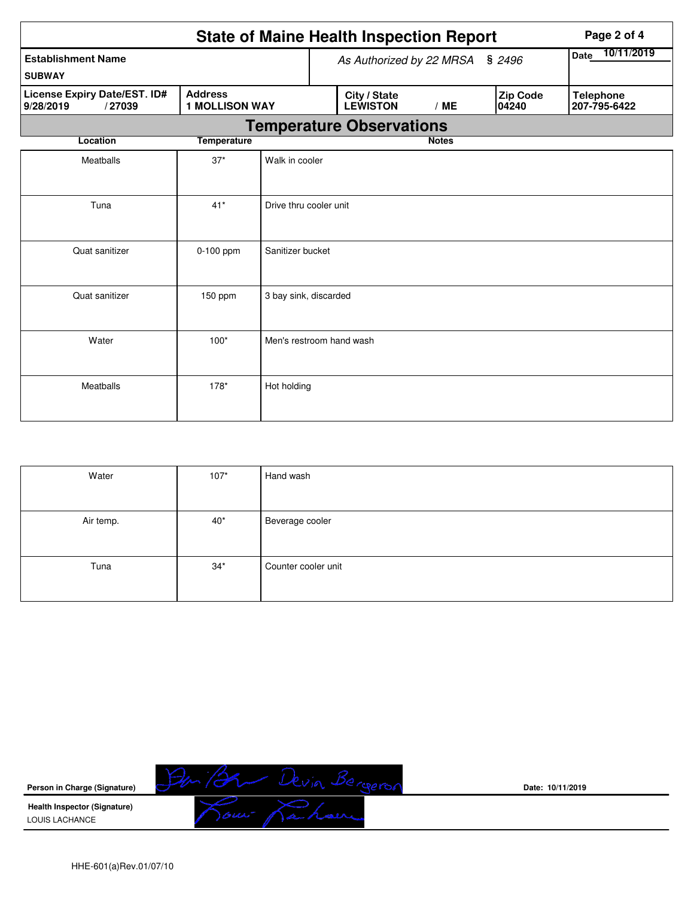|                                                                                                | <b>State of Maine Health Inspection Report</b> |                          |  |                                 |                    |  |                   | Page 2 of 4                      |  |  |
|------------------------------------------------------------------------------------------------|------------------------------------------------|--------------------------|--|---------------------------------|--------------------|--|-------------------|----------------------------------|--|--|
| <b>Establishment Name</b><br><b>SUBWAY</b>                                                     |                                                |                          |  | As Authorized by 22 MRSA § 2496 | 10/11/2019<br>Date |  |                   |                                  |  |  |
| License Expiry Date/EST. ID#<br><b>Address</b><br><b>1 MOLLISON WAY</b><br>9/28/2019<br>/27039 |                                                |                          |  | City / State<br><b>LEWISTON</b> | /ME                |  | Zip Code<br>04240 | <b>Telephone</b><br>207-795-6422 |  |  |
|                                                                                                |                                                |                          |  | <b>Temperature Observations</b> |                    |  |                   |                                  |  |  |
| Location                                                                                       | <b>Temperature</b>                             |                          |  |                                 | <b>Notes</b>       |  |                   |                                  |  |  |
| Meatballs                                                                                      | $37*$                                          | Walk in cooler           |  |                                 |                    |  |                   |                                  |  |  |
| Tuna                                                                                           | $41*$                                          | Drive thru cooler unit   |  |                                 |                    |  |                   |                                  |  |  |
| Quat sanitizer                                                                                 | $0-100$ ppm                                    | Sanitizer bucket         |  |                                 |                    |  |                   |                                  |  |  |
| Quat sanitizer                                                                                 | $150$ ppm                                      | 3 bay sink, discarded    |  |                                 |                    |  |                   |                                  |  |  |
| Water                                                                                          | $100*$                                         | Men's restroom hand wash |  |                                 |                    |  |                   |                                  |  |  |
| Meatballs                                                                                      | $178*$                                         | Hot holding              |  |                                 |                    |  |                   |                                  |  |  |

| Water     | $107*$ | Hand wash           |
|-----------|--------|---------------------|
|           |        |                     |
| Air temp. | $40*$  | Beverage cooler     |
|           |        |                     |
| Tuna      | $34*$  | Counter cooler unit |
|           |        |                     |



**Date: 10/11/2019**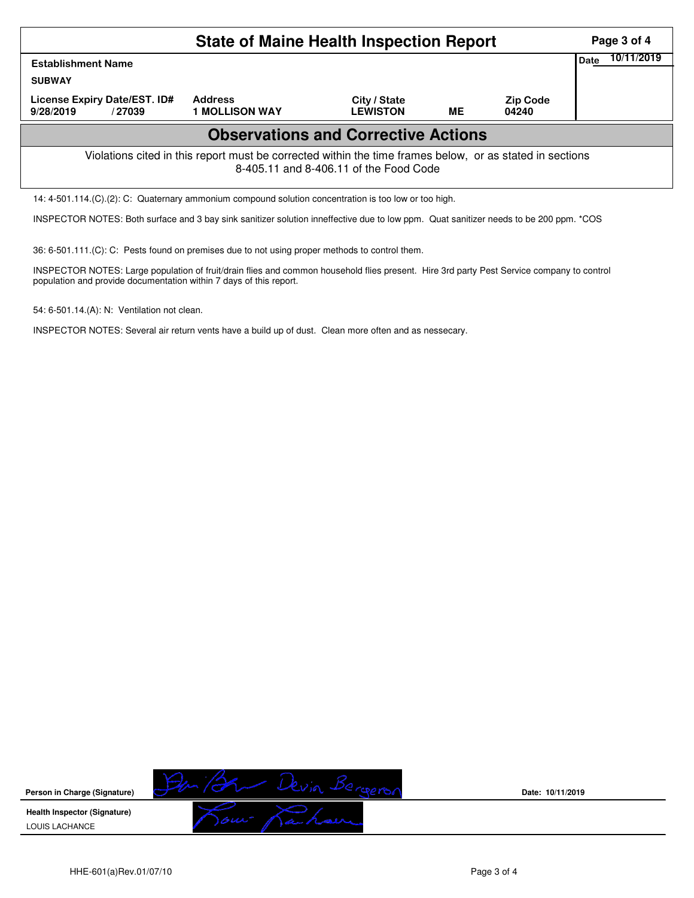|                                                                                                                                                    | Page 3 of 4                             |                                 |            |                          |  |  |  |  |  |  |  |
|----------------------------------------------------------------------------------------------------------------------------------------------------|-----------------------------------------|---------------------------------|------------|--------------------------|--|--|--|--|--|--|--|
| <b>Establishment Name</b><br><b>SUBWAY</b>                                                                                                         |                                         | <b>Date</b>                     | 10/11/2019 |                          |  |  |  |  |  |  |  |
| License Expiry Date/EST. ID#<br>9/28/2019<br>/ 27039                                                                                               | <b>Address</b><br><b>1 MOLLISON WAY</b> | City / State<br><b>LEWISTON</b> | ME         | <b>Zip Code</b><br>04240 |  |  |  |  |  |  |  |
| <b>Observations and Corrective Actions</b>                                                                                                         |                                         |                                 |            |                          |  |  |  |  |  |  |  |
| Violations cited in this report must be corrected within the time frames below, or as stated in sections<br>8-405.11 and 8-406.11 of the Food Code |                                         |                                 |            |                          |  |  |  |  |  |  |  |
| 14: 4-501.114. (C). (2): C: Quaternary ammonium compound solution concentration is too low or too high.                                            |                                         |                                 |            |                          |  |  |  |  |  |  |  |

INSPECTOR NOTES: Both surface and 3 bay sink sanitizer solution inneffective due to low ppm. Quat sanitizer needs to be 200 ppm. \*COS

36: 6-501.111.(C): C: Pests found on premises due to not using proper methods to control them.

INSPECTOR NOTES: Large population of fruit/drain flies and common household flies present. Hire 3rd party Pest Service company to control population and provide documentation within 7 days of this report.

54: 6-501.14.(A): N: Ventilation not clean.

INSPECTOR NOTES: Several air return vents have a build up of dust. Clean more often and as nessecary.



**Date: 10/11/2019**